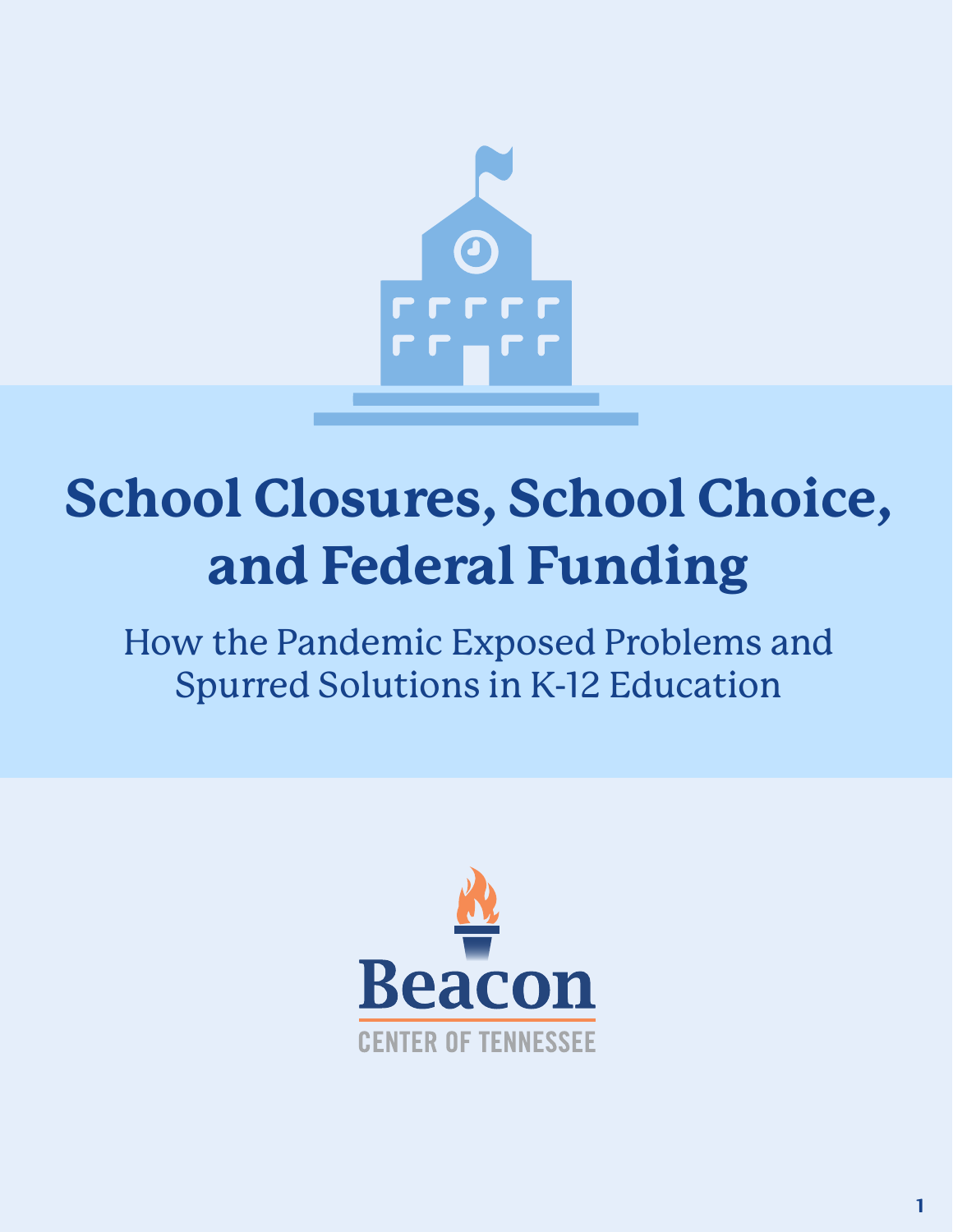

## **School Closures, School Choice, and Federal Funding**

How the Pandemic Exposed Problems and Spurred Solutions in K-12 Education

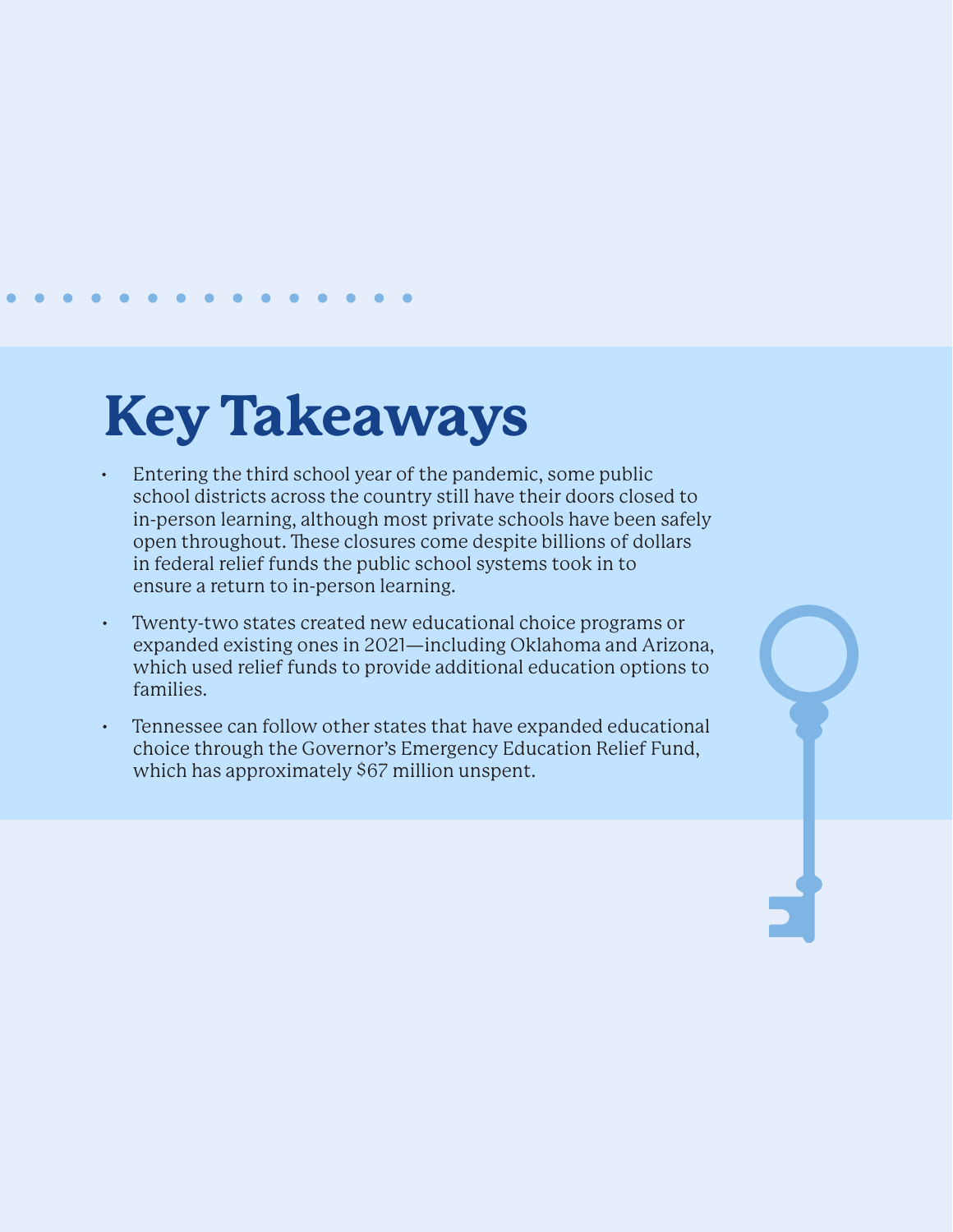### **Key Takeaways**

- Entering the third school year of the pandemic, some public school districts across the country still have their doors closed to in-person learning, although most private schools have been safely open throughout. These closures come despite billions of dollars in federal relief funds the public school systems took in to ensure a return to in-person learning.
- Twenty-two states created new educational choice programs or expanded existing ones in 2021—including Oklahoma and Arizona, which used relief funds to provide additional education options to families.
- Tennessee can follow other states that have expanded educational choice through the Governor's Emergency Education Relief Fund, which has approximately \$67 million unspent.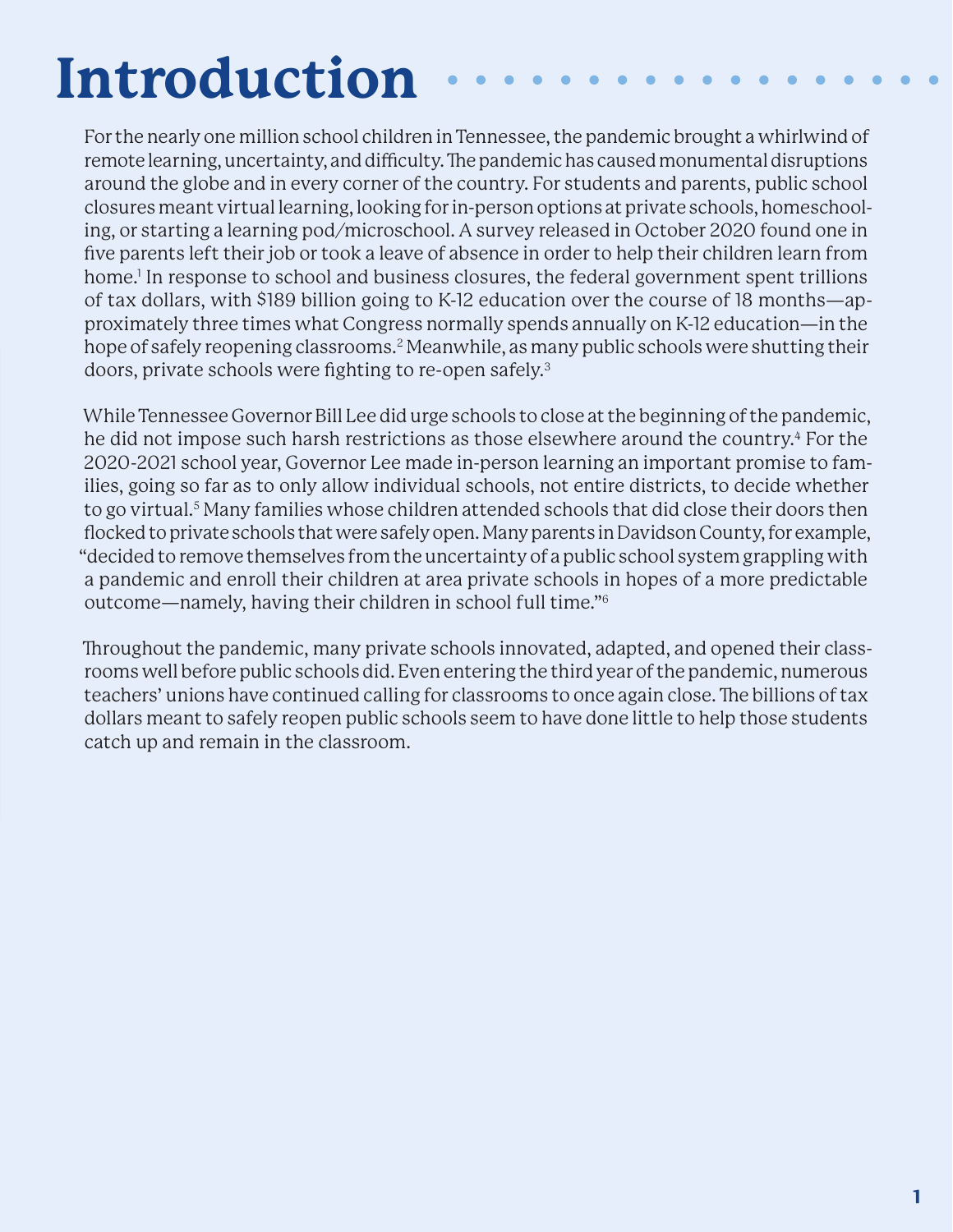# **Introduction**

For the nearly one million school children in Tennessee, the pandemic brought a whirlwind of remote learning, uncertainty, and difficulty. The pandemic has caused monumental disruptions around the globe and in every corner of the country. For students and parents, public school closures meant virtual learning, looking for in-person options at private schools, homeschooling, or starting a learning pod/microschool. A survey released in October 2020 found one in five parents left their job or took a leave of absence in order to help their children learn from home.<sup>1</sup> In response to school and business closures, the federal government spent trillions of tax dollars, with \$189 billion going to K-12 education over the course of 18 months—approximately three times what Congress normally spends annually on K-12 education—in the hope of safely reopening classrooms.<sup>2</sup> Meanwhile, as many public schools were shutting their doors, private schools were fighting to re-open safely.3

While Tennessee Governor Bill Lee did urge schools to close at the beginning of the pandemic, he did not impose such harsh restrictions as those elsewhere around the country.<sup>4</sup> For the 2020-2021 school year, Governor Lee made in-person learning an important promise to families, going so far as to only allow individual schools, not entire districts, to decide whether to go virtual.<sup>5</sup> Many families whose children attended schools that did close their doors then flocked to private schools that were safely open. Many parents in Davidson County, for example, "decided to remove themselves from the uncertainty of a public school system grappling with a pandemic and enroll their children at area private schools in hopes of a more predictable outcome—namely, having their children in school full time."6

Throughout the pandemic, many private schools innovated, adapted, and opened their classrooms well before public schools did. Even entering the third year of the pandemic, numerous teachers' unions have continued calling for classrooms to once again close. The billions of tax dollars meant to safely reopen public schools seem to have done little to help those students catch up and remain in the classroom.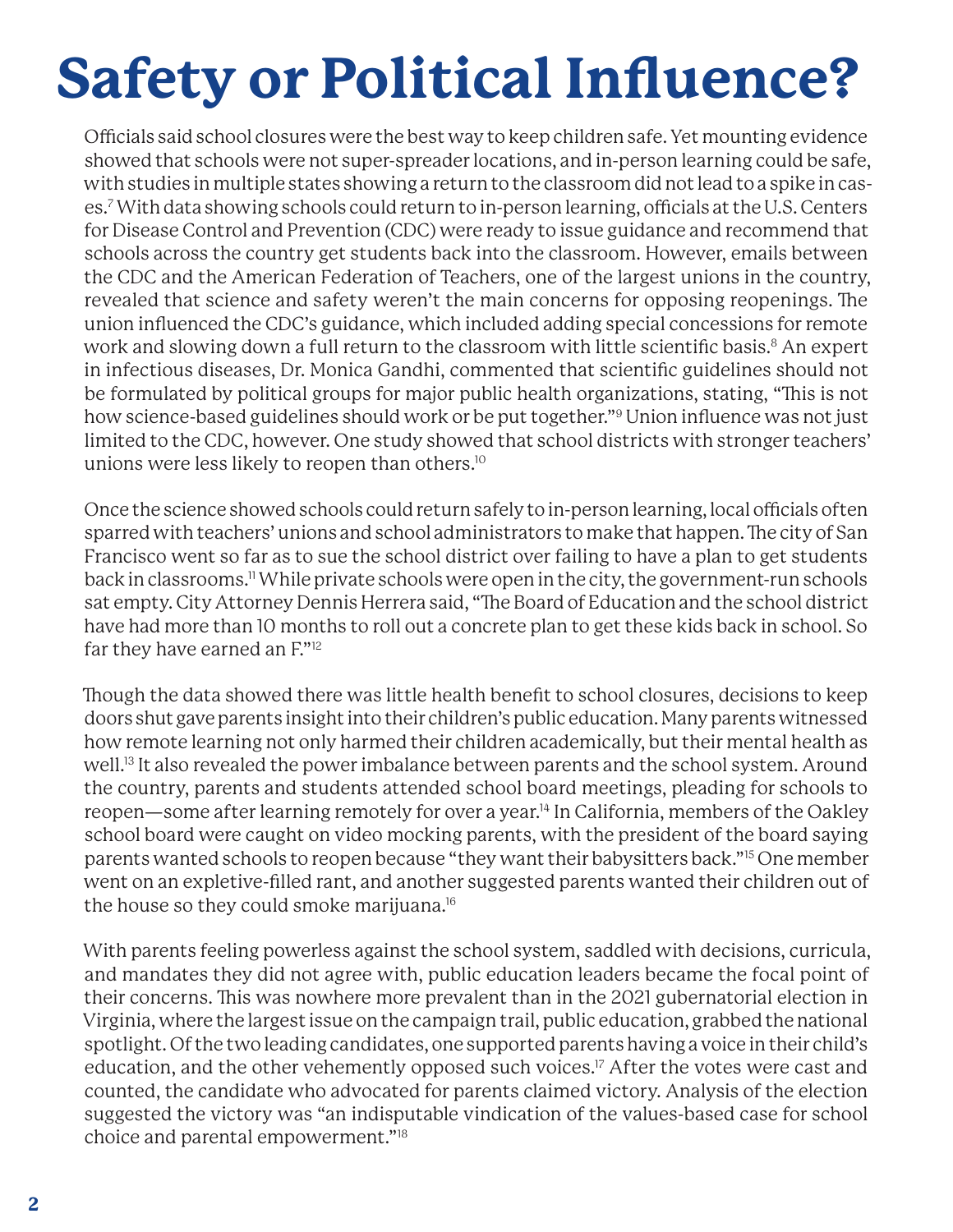# **Safety or Political Influence?**

Officials said school closures were the best way to keep children safe. Yet mounting evidence showed that schools were not super-spreader locations, and in-person learning could be safe, with studies in multiple states showing a return to the classroom did not lead to a spike in cases.7 With data showing schools could return to in-person learning, officials at the U.S. Centers for Disease Control and Prevention (CDC) were ready to issue guidance and recommend that schools across the country get students back into the classroom. However, emails between the CDC and the American Federation of Teachers, one of the largest unions in the country, revealed that science and safety weren't the main concerns for opposing reopenings. The union influenced the CDC's guidance, which included adding special concessions for remote work and slowing down a full return to the classroom with little scientific basis.<sup>8</sup> An expert in infectious diseases, Dr. Monica Gandhi, commented that scientific guidelines should not be formulated by political groups for major public health organizations, stating, "This is not how science-based guidelines should work or be put together."9 Union influence was not just limited to the CDC, however. One study showed that school districts with stronger teachers' unions were less likely to reopen than others.10

Once the science showed schools could return safely to in-person learning, local officials often sparred with teachers' unions and school administrators to make that happen. The city of San Francisco went so far as to sue the school district over failing to have a plan to get students back in classrooms.11 While private schools were open in the city, the government-run schools sat empty. City Attorney Dennis Herrera said, "The Board of Education and the school district have had more than 10 months to roll out a concrete plan to get these kids back in school. So far they have earned an F."12

Though the data showed there was little health benefit to school closures, decisions to keep doors shut gave parents insight into their children's public education. Many parents witnessed how remote learning not only harmed their children academically, but their mental health as well.13 It also revealed the power imbalance between parents and the school system. Around the country, parents and students attended school board meetings, pleading for schools to reopen—some after learning remotely for over a year.14 In California, members of the Oakley school board were caught on video mocking parents, with the president of the board saying parents wanted schools to reopen because "they want their babysitters back."15 One member went on an expletive-filled rant, and another suggested parents wanted their children out of the house so they could smoke marijuana.<sup>16</sup>

With parents feeling powerless against the school system, saddled with decisions, curricula, and mandates they did not agree with, public education leaders became the focal point of their concerns. This was nowhere more prevalent than in the 2021 gubernatorial election in Virginia, where the largest issue on the campaign trail, public education, grabbed the national spotlight. Of the two leading candidates, one supported parents having a voice in their child's education, and the other vehemently opposed such voices.<sup>17</sup> After the votes were cast and counted, the candidate who advocated for parents claimed victory. Analysis of the election suggested the victory was "an indisputable vindication of the values-based case for school choice and parental empowerment."18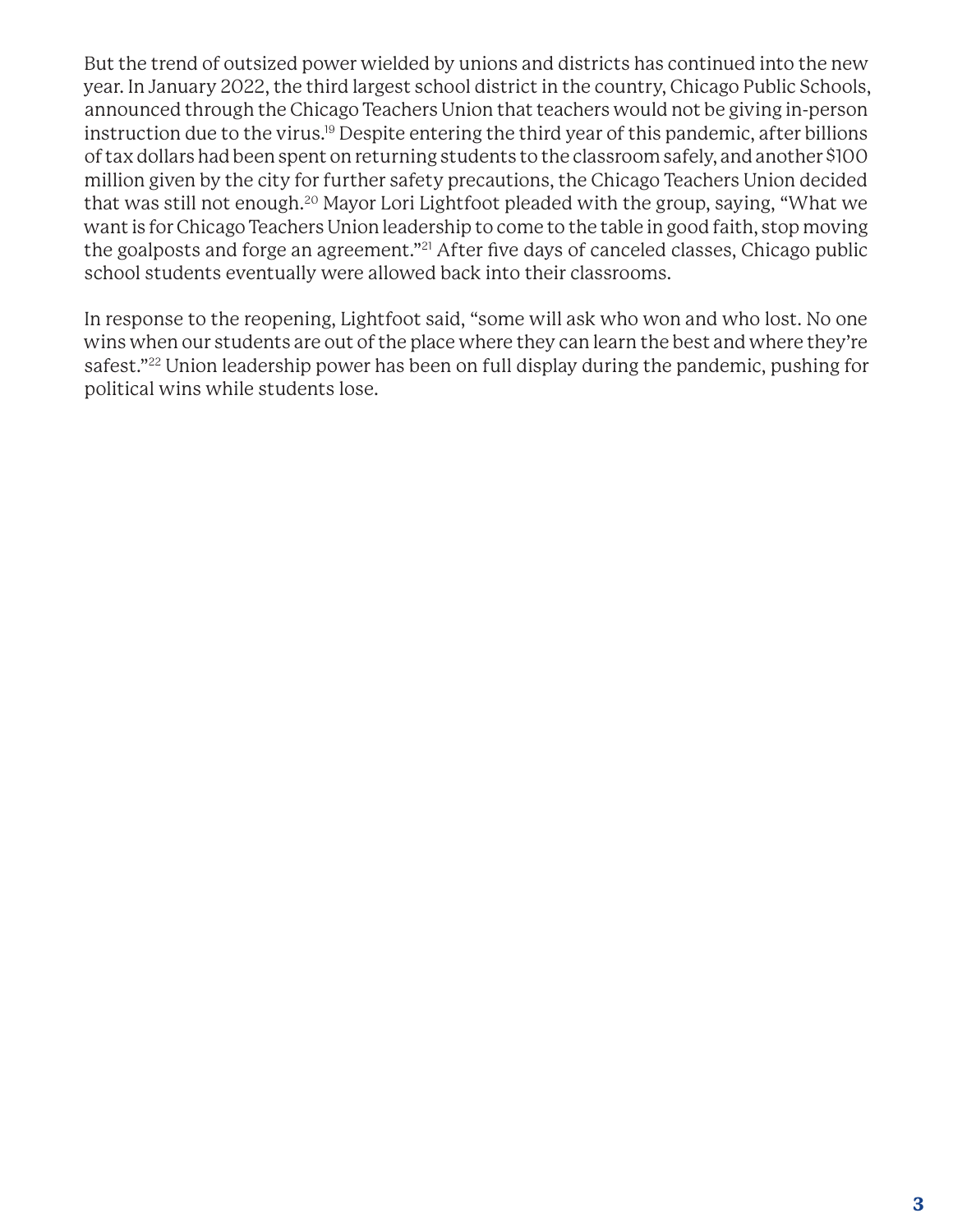But the trend of outsized power wielded by unions and districts has continued into the new year. In January 2022, the third largest school district in the country, Chicago Public Schools, announced through the Chicago Teachers Union that teachers would not be giving in-person instruction due to the virus.19 Despite entering the third year of this pandemic, after billions of tax dollars had been spent on returning students to the classroom safely, and another \$100 million given by the city for further safety precautions, the Chicago Teachers Union decided that was still not enough.20 Mayor Lori Lightfoot pleaded with the group, saying, "What we want is for Chicago Teachers Union leadership to come to the table in good faith, stop moving the goalposts and forge an agreement."<sup>21</sup> After five days of canceled classes, Chicago public school students eventually were allowed back into their classrooms.

In response to the reopening, Lightfoot said, "some will ask who won and who lost. No one wins when our students are out of the place where they can learn the best and where they're safest."22 Union leadership power has been on full display during the pandemic, pushing for political wins while students lose.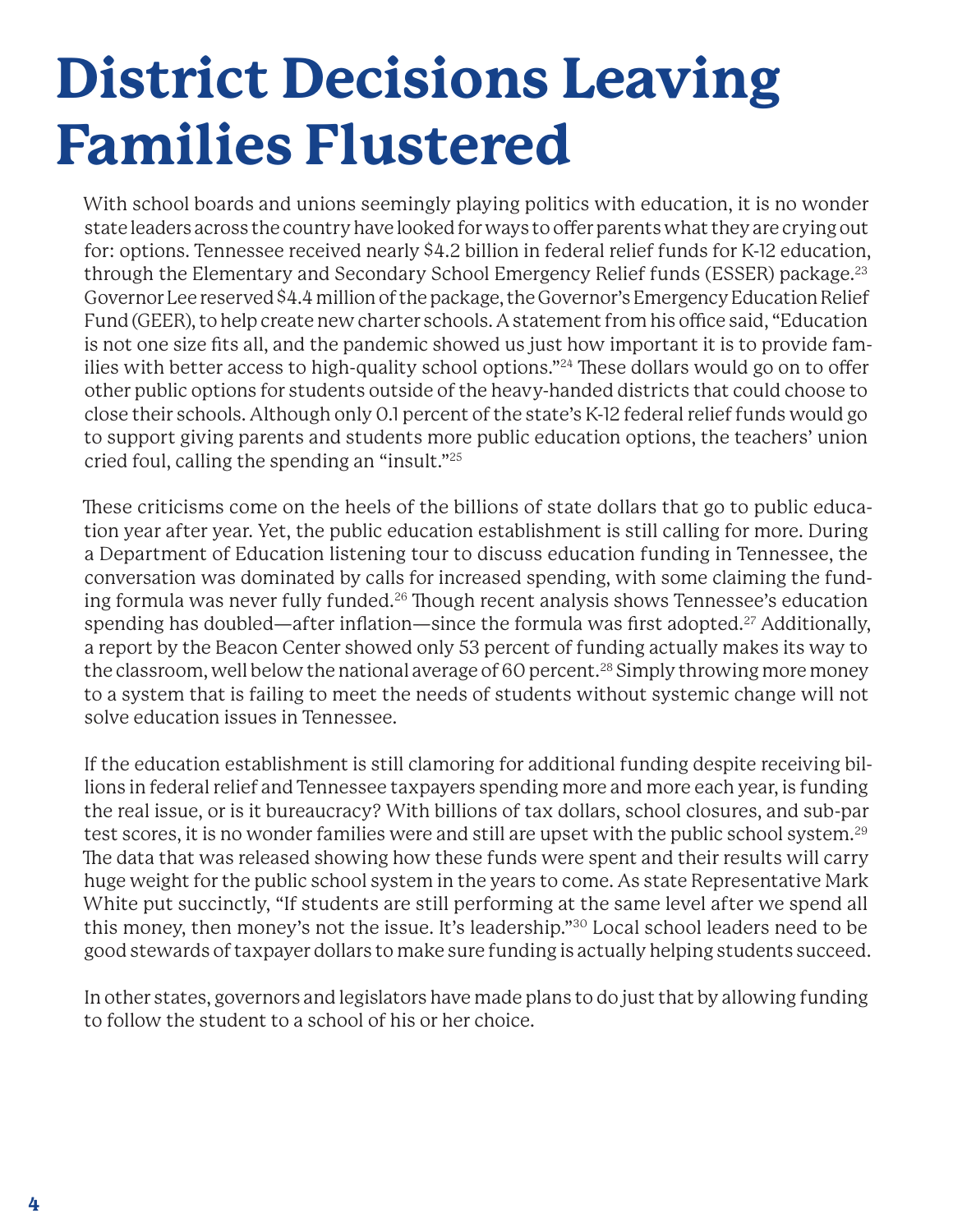## **District Decisions Leaving Families Flustered**

With school boards and unions seemingly playing politics with education, it is no wonder state leaders across the country have looked for ways to offer parents what they are crying out for: options. Tennessee received nearly \$4.2 billion in federal relief funds for K-12 education, through the Elementary and Secondary School Emergency Relief funds (ESSER) package.23 Governor Lee reserved \$4.4 million of the package, the Governor's Emergency Education Relief Fund (GEER), to help create new charter schools. A statement from his office said, "Education is not one size fits all, and the pandemic showed us just how important it is to provide families with better access to high-quality school options."<sup>24</sup> These dollars would go on to offer other public options for students outside of the heavy-handed districts that could choose to close their schools. Although only 0.1 percent of the state's K-12 federal relief funds would go to support giving parents and students more public education options, the teachers' union cried foul, calling the spending an "insult."25

These criticisms come on the heels of the billions of state dollars that go to public education year after year. Yet, the public education establishment is still calling for more. During a Department of Education listening tour to discuss education funding in Tennessee, the conversation was dominated by calls for increased spending, with some claiming the funding formula was never fully funded.<sup>26</sup> Though recent analysis shows Tennessee's education spending has doubled—after inflation—since the formula was first adopted.27 Additionally, a report by the Beacon Center showed only 53 percent of funding actually makes its way to the classroom, well below the national average of 60 percent.<sup>28</sup> Simply throwing more money to a system that is failing to meet the needs of students without systemic change will not solve education issues in Tennessee.

If the education establishment is still clamoring for additional funding despite receiving billions in federal relief and Tennessee taxpayers spending more and more each year, is funding the real issue, or is it bureaucracy? With billions of tax dollars, school closures, and sub-par test scores, it is no wonder families were and still are upset with the public school system.29 The data that was released showing how these funds were spent and their results will carry huge weight for the public school system in the years to come. As state Representative Mark White put succinctly, "If students are still performing at the same level after we spend all this money, then money's not the issue. It's leadership."30 Local school leaders need to be good stewards of taxpayer dollars to make sure funding is actually helping students succeed.

In other states, governors and legislators have made plans to do just that by allowing funding to follow the student to a school of his or her choice.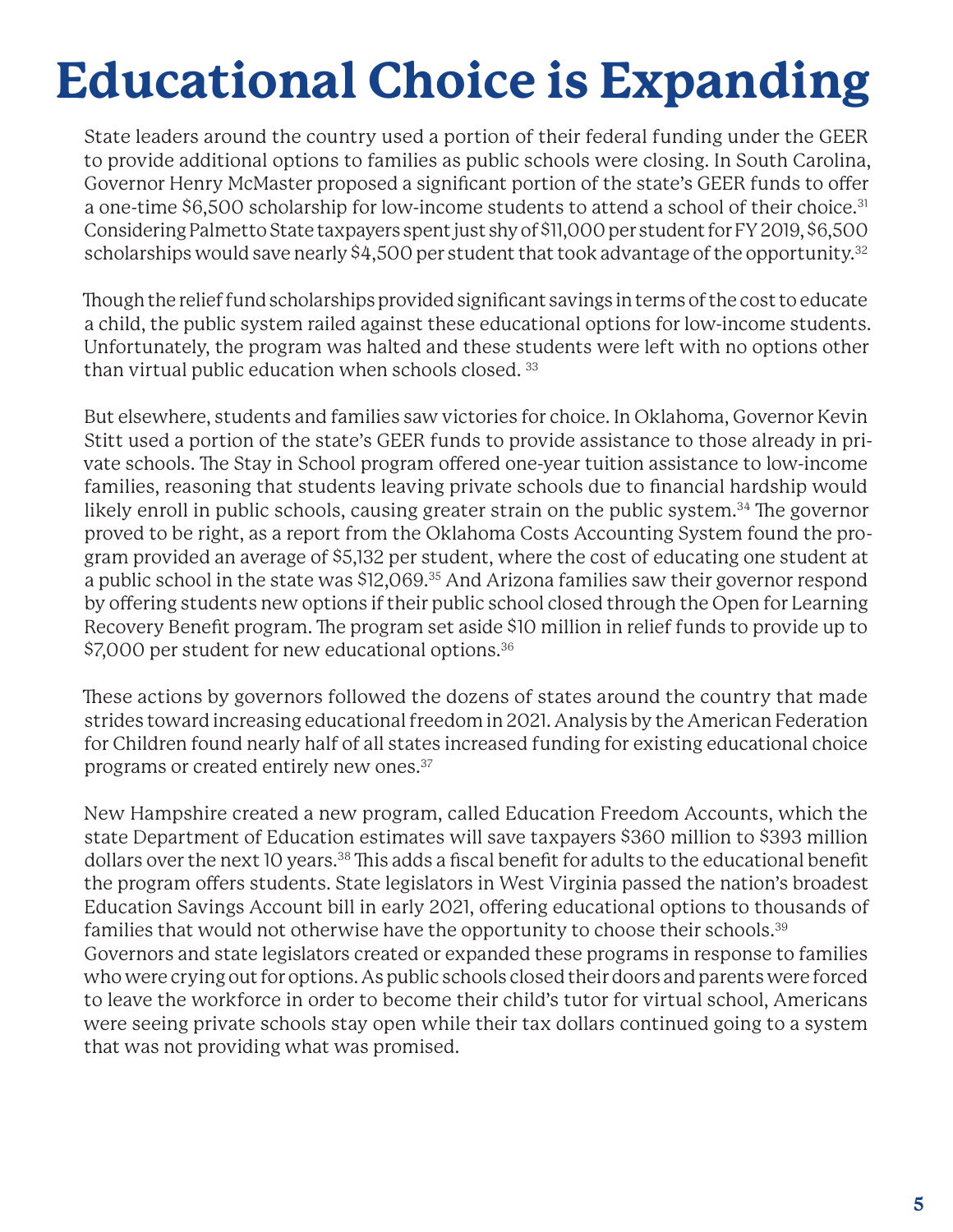### **Educational Choice is Expanding**

State leaders around the country used a portion of their federal funding under the GEER to provide additional options to families as public schools were closing. In South Carolina, Governor Henry McMaster proposed a significant portion of the state's GEER funds to offer a one-time \$6,500 scholarship for low-income students to attend a school of their choice.<sup>31</sup> Considering Palmetto State taxpayers spent just shy of \$11,000 per student for FY 2019, \$6,500 scholarships would save nearly \$4,500 per student that took advantage of the opportunity.<sup>32</sup>

Though the relief fund scholarships provided significant savings in terms of the cost to educate a child, the public system railed against these educational options for low-income students. Unfortunately, the program was halted and these students were left with no options other than virtual public education when schools closed. 33

But elsewhere, students and families saw victories for choice. In Oklahoma, Governor Kevin Stitt used a portion of the state's GEER funds to provide assistance to those already in private schools. The Stay in School program offered one-year tuition assistance to low-income families, reasoning that students leaving private schools due to financial hardship would likely enroll in public schools, causing greater strain on the public system.<sup>34</sup> The governor proved to be right, as a report from the Oklahoma Costs Accounting System found the program provided an average of \$5,132 per student, where the cost of educating one student at a public school in the state was \$12,069.<sup>35</sup> And Arizona families saw their governor respond by offering students new options if their public school closed through the Open for Learning Recovery Benefit program. The program set aside \$10 million in relief funds to provide up to \$7,000 per student for new educational options.<sup>36</sup>

These actions by governors followed the dozens of states around the country that made strides toward increasing educational freedom in 2021. Analysis by the American Federation for Children found nearly half of all states increased funding for existing educational choice programs or created entirely new ones.37

New Hampshire created a new program, called Education Freedom Accounts, which the state Department of Education estimates will save taxpayers \$360 million to \$393 million dollars over the next 10 years.<sup>38</sup> This adds a fiscal benefit for adults to the educational benefit the program offers students. State legislators in West Virginia passed the nation's broadest Education Savings Account bill in early 2021, offering educational options to thousands of families that would not otherwise have the opportunity to choose their schools.39 Governors and state legislators created or expanded these programs in response to families who were crying out for options. As public schools closed their doors and parents were forced to leave the workforce in order to become their child's tutor for virtual school, Americans were seeing private schools stay open while their tax dollars continued going to a system that was not providing what was promised.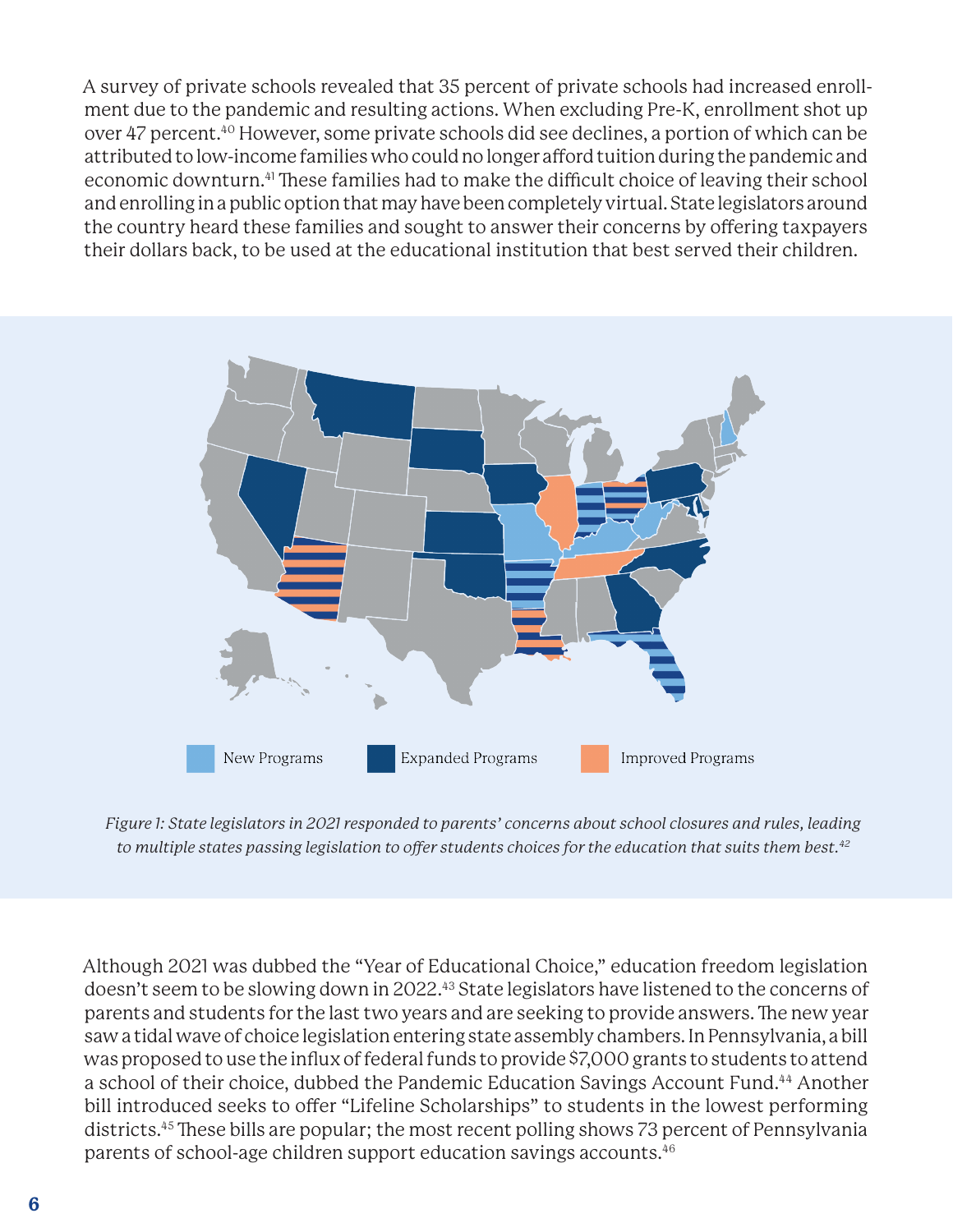A survey of private schools revealed that 35 percent of private schools had increased enrollment due to the pandemic and resulting actions. When excluding Pre-K, enrollment shot up over 47 percent.40 However, some private schools did see declines, a portion of which can be attributed to low-income families who could no longer afford tuition during the pandemic and economic downturn.<sup>41</sup> These families had to make the difficult choice of leaving their school and enrolling in a public option that may have been completely virtual. State legislators around the country heard these families and sought to answer their concerns by offering taxpayers their dollars back, to be used at the educational institution that best served their children.



*Figure 1: State legislators in 2021 responded to parents' concerns about school closures and rules, leading to multiple states passing legislation to offer students choices for the education that suits them best.42*

Although 2021 was dubbed the "Year of Educational Choice," education freedom legislation doesn't seem to be slowing down in 2022.43 State legislators have listened to the concerns of parents and students for the last two years and are seeking to provide answers. The new year saw a tidal wave of choice legislation entering state assembly chambers. In Pennsylvania, a bill was proposed to use the influx of federal funds to provide \$7,000 grants to students to attend a school of their choice, dubbed the Pandemic Education Savings Account Fund.<sup>44</sup> Another bill introduced seeks to offer "Lifeline Scholarships" to students in the lowest performing districts.<sup>45</sup> These bills are popular; the most recent polling shows 73 percent of Pennsylvania parents of school-age children support education savings accounts.46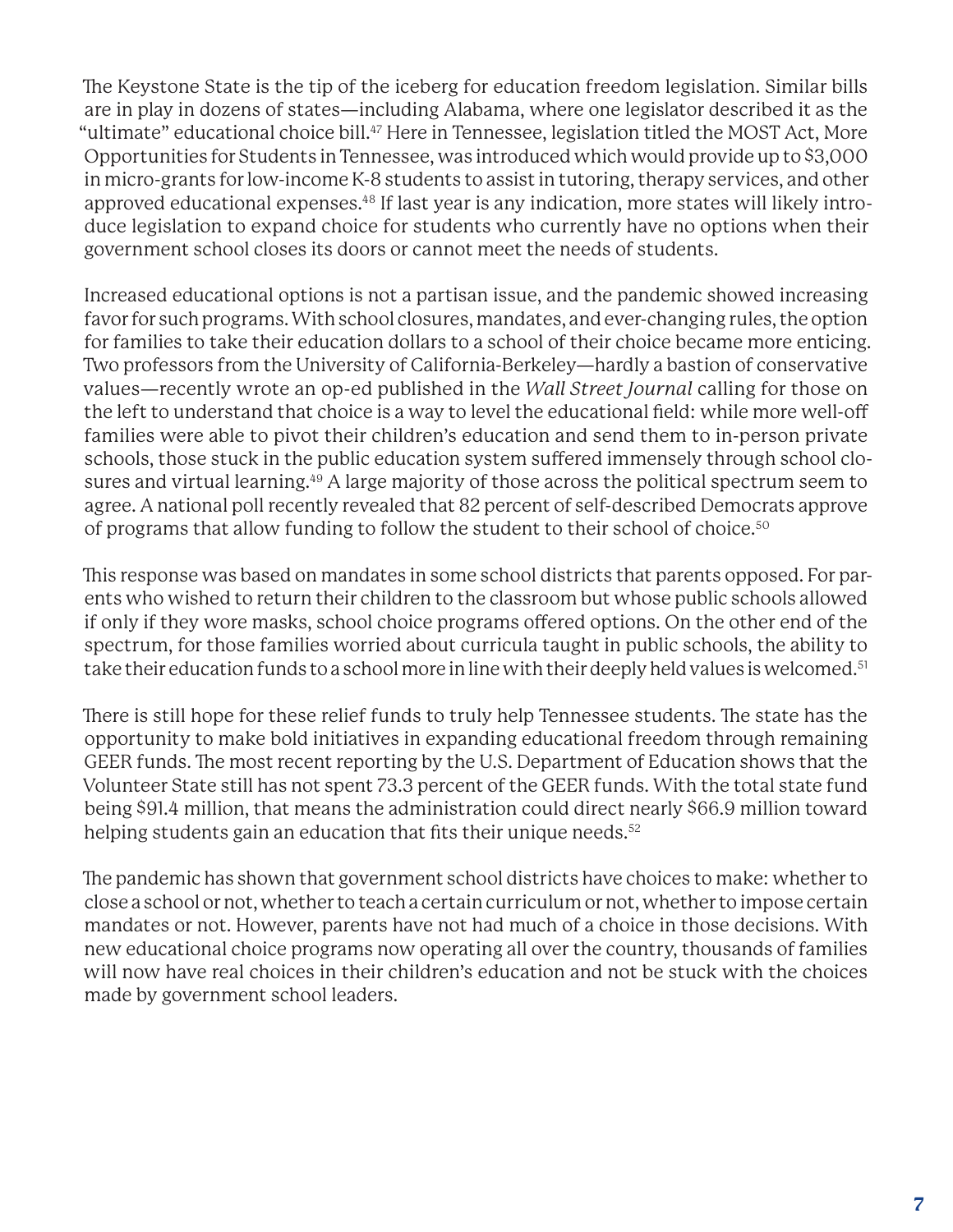The Keystone State is the tip of the iceberg for education freedom legislation. Similar bills are in play in dozens of states—including Alabama, where one legislator described it as the "ultimate" educational choice bill.<sup>47</sup> Here in Tennessee, legislation titled the MOST Act, More Opportunities for Students in Tennessee, was introduced which would provide up to \$3,000 in micro-grants for low-income K-8 students to assist in tutoring, therapy services, and other approved educational expenses.48 If last year is any indication, more states will likely introduce legislation to expand choice for students who currently have no options when their government school closes its doors or cannot meet the needs of students.

Increased educational options is not a partisan issue, and the pandemic showed increasing favor for such programs. With school closures, mandates, and ever-changing rules, the option for families to take their education dollars to a school of their choice became more enticing. Two professors from the University of California-Berkeley—hardly a bastion of conservative values—recently wrote an op-ed published in the *Wall Street Journal* calling for those on the left to understand that choice is a way to level the educational field: while more well-off families were able to pivot their children's education and send them to in-person private schools, those stuck in the public education system suffered immensely through school closures and virtual learning.<sup>49</sup> A large majority of those across the political spectrum seem to agree. A national poll recently revealed that 82 percent of self-described Democrats approve of programs that allow funding to follow the student to their school of choice.<sup>50</sup>

This response was based on mandates in some school districts that parents opposed. For parents who wished to return their children to the classroom but whose public schools allowed if only if they wore masks, school choice programs offered options. On the other end of the spectrum, for those families worried about curricula taught in public schools, the ability to take their education funds to a school more in line with their deeply held values is welcomed.<sup>51</sup>

There is still hope for these relief funds to truly help Tennessee students. The state has the opportunity to make bold initiatives in expanding educational freedom through remaining GEER funds. The most recent reporting by the U.S. Department of Education shows that the Volunteer State still has not spent 73.3 percent of the GEER funds. With the total state fund being \$91.4 million, that means the administration could direct nearly \$66.9 million toward helping students gain an education that fits their unique needs.<sup>52</sup>

The pandemic has shown that government school districts have choices to make: whether to close a school or not, whether to teach a certain curriculum or not, whether to impose certain mandates or not. However, parents have not had much of a choice in those decisions. With new educational choice programs now operating all over the country, thousands of families will now have real choices in their children's education and not be stuck with the choices made by government school leaders.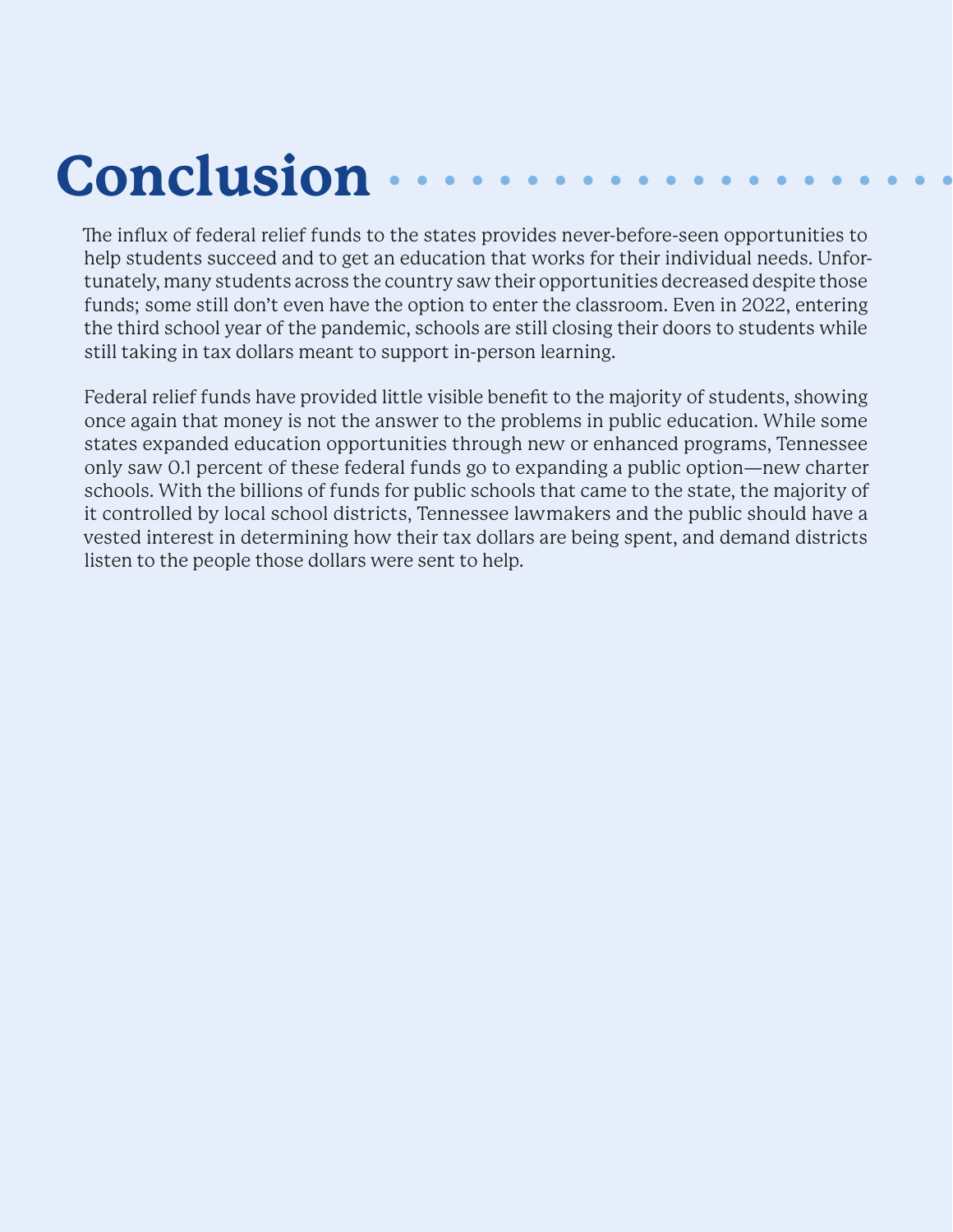## **Conclusion**

The influx of federal relief funds to the states provides never-before-seen opportunities to help students succeed and to get an education that works for their individual needs. Unfortunately, many students across the country saw their opportunities decreased despite those funds; some still don't even have the option to enter the classroom. Even in 2022, entering the third school year of the pandemic, schools are still closing their doors to students while still taking in tax dollars meant to support in-person learning.

Federal relief funds have provided little visible benefit to the majority of students, showing once again that money is not the answer to the problems in public education. While some states expanded education opportunities through new or enhanced programs, Tennessee only saw 0.1 percent of these federal funds go to expanding a public option—new charter schools. With the billions of funds for public schools that came to the state, the majority of it controlled by local school districts, Tennessee lawmakers and the public should have a vested interest in determining how their tax dollars are being spent, and demand districts listen to the people those dollars were sent to help.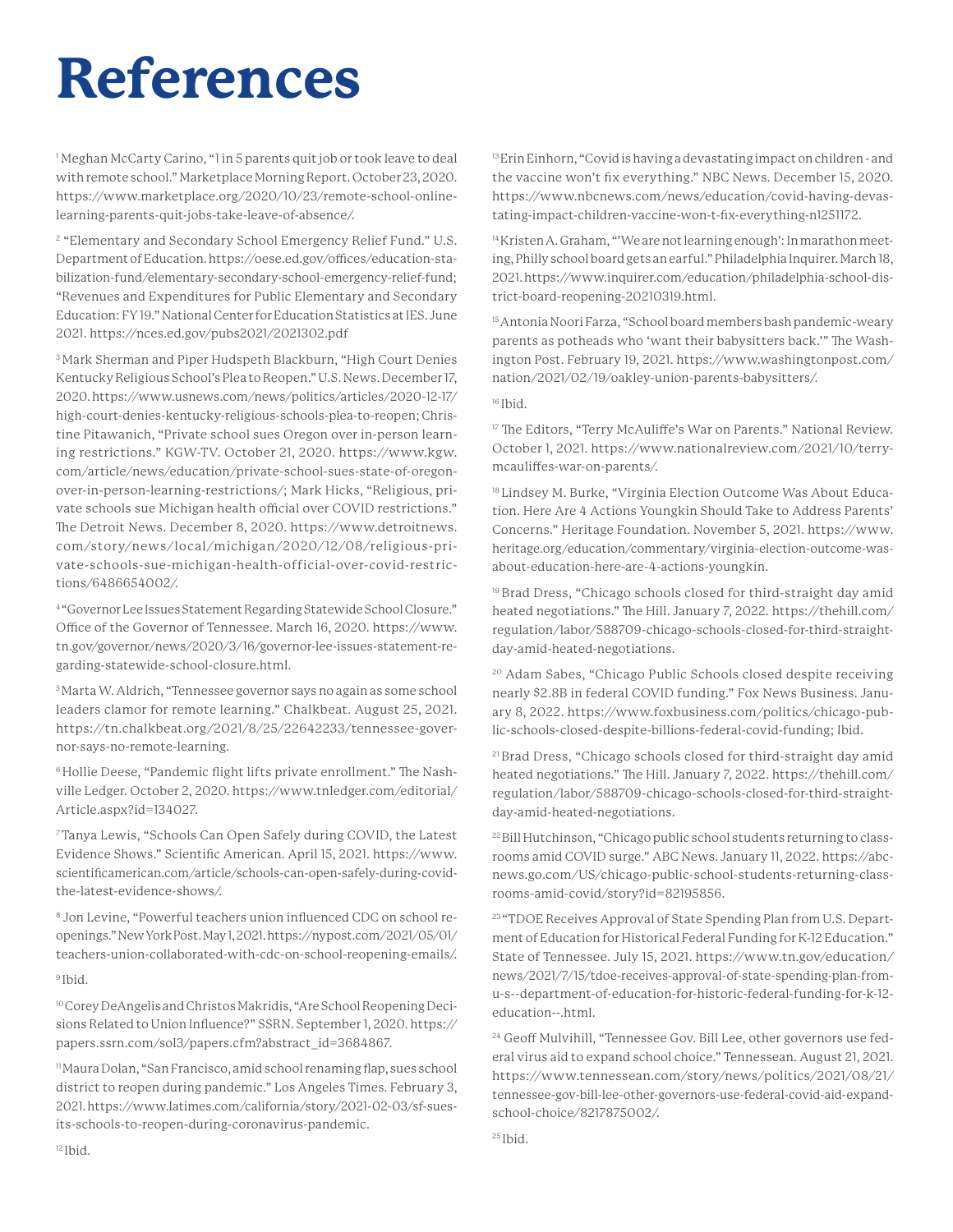#### **References**

1 Meghan McCarty Carino, "1 in 5 parents quit job or took leave to deal with remote school." Marketplace Morning Report. October 23, 2020. https://www.marketplace.org/2020/10/23/remote-school-onlinelearning-parents-quit-jobs-take-leave-of-absence/.

2 "Elementary and Secondary School Emergency Relief Fund." U.S. Department of Education. https://oese.ed.gov/offices/education-stabilization-fund/elementary-secondary-school-emergency-relief-fund; "Revenues and Expenditures for Public Elementary and Secondary Education: FY 19." National Center for Education Statistics at IES. June 2021. https://nces.ed.gov/pubs2021/2021302.pdf

3 Mark Sherman and Piper Hudspeth Blackburn, "High Court Denies Kentucky Religious School's Plea to Reopen." U.S. News. December 17, 2020. https://www.usnews.com/news/politics/articles/2020-12-17/ high-court-denies-kentucky-religious-schools-plea-to-reopen; Christine Pitawanich, "Private school sues Oregon over in-person learning restrictions." KGW-TV. October 21, 2020. https://www.kgw. com/article/news/education/private-school-sues-state-of-oregonover-in-person-learning-restrictions/; Mark Hicks, "Religious, private schools sue Michigan health official over COVID restrictions." The Detroit News. December 8, 2020. https://www.detroitnews. com/story/news/local/michigan/2020/ 12/08/religious-private-schools-sue-michigan-health-official-over-covid-restrictions/6486654002/.

4 "Governor Lee Issues Statement Regarding Statewide School Closure." Office of the Governor of Tennessee. March 16, 2020. https://www. tn.gov/governor/news/2020/3/16/governor-lee-issues-statement-regarding-statewide-school-closure.html.

5 Marta W. Aldrich, "Tennessee governor says no again as some school leaders clamor for remote learning." Chalkbeat. August 25, 2021. https://tn.chalkbeat.org/2021/8/25/22642233/tennessee-governor-says-no-remote-learning.

<sup>6</sup> Hollie Deese, "Pandemic flight lifts private enrollment." The Nashville Ledger. October 2, 2020. https://www.tnledger.com/editorial/ Article.aspx?id=134027.

7 Tanya Lewis, "Schools Can Open Safely during COVID, the Latest Evidence Shows." Scientific American. April 15, 2021. https://www. scientificamerican.com/article/schools-can-open-safely-during-covidthe-latest-evidence-shows/.

8 Jon Levine, "Powerful teachers union influenced CDC on school reopenings." New York Post. May 1, 2021. https://nypost.com/2021/05/01/ teachers-union-collaborated-with-cdc-on-school-reopening-emails/. <sup>9</sup> Ibid.

10 Corey DeAngelis and Christos Makridis, "Are School Reopening Decisions Related to Union Influence?" SSRN. September 1, 2020. https:// papers.ssrn.com/sol3/papers.cfm?abstract\_id=3684867.

11 Maura Dolan, "San Francisco, amid school renaming flap, sues school district to reopen during pandemic." Los Angeles Times. February 3, 2021. https://www.latimes.com/california/story/2021-02-03/sf-suesits-schools-to-reopen-during-coronavirus-pandemic.

<sup>13</sup> Erin Einhorn, "Covid is having a devastating impact on children - and the vaccine won't fix everything." NBC News. December 15, 2020. https://www.nbcnews.com/news/education/covid-having-devastating-impact-children-vaccine-won-t-fix-everything-n1251172.

14 Kristen A. Graham, "'We are not learning enough': In marathon meeting, Philly school board gets an earful." Philadelphia Inquirer. March 18, 2021. https://www.inquirer.com/education/philadelphia-school-district-board-reopening-20210319.html.

<sup>15</sup> Antonia Noori Farza, "School board members bash pandemic-weary parents as potheads who 'want their babysitters back." The Washington Post. February 19, 2021. https://www.washingtonpost.com/ nation/2021/02/19/oakley-union-parents-babysitters/.

16 Ibid.

<sup>17</sup> The Editors, "Terry McAuliffe's War on Parents." National Review. October 1, 2021. https://www.nationalreview.com/2021/10/terrymcauliffes-war-on-parents/.

18 Lindsey M. Burke, "Virginia Election Outcome Was About Education. Here Are 4 Actions Youngkin Should Take to Address Parents' Concerns." Heritage Foundation. November 5, 2021. https://www. heritage.org/education/commentary/virginia-election-outcome-wasabout-education-here-are-4-actions-youngkin.

19 Brad Dress, "Chicago schools closed for third-straight day amid heated negotiations." The Hill. January 7, 2022. https://thehill.com/ regulation/labor/588709-chicago-schools-closed-for-third-straightday-amid-heated-negotiations.

20 Adam Sabes, "Chicago Public Schools closed despite receiving nearly \$2.8B in federal COVID funding." Fox News Business. January 8, 2022. https://www.foxbusiness.com/politics/chicago-public-schools-closed-despite-billions-federal-covid-funding; Ibid.

21 Brad Dress, "Chicago schools closed for third-straight day amid heated negotiations." The Hill. January 7, 2022. https://thehill.com/ regulation/labor/588709-chicago-schools-closed-for-third-straightday-amid-heated-negotiations.

22 Bill Hutchinson, "Chicago public school students returning to classrooms amid COVID surge." ABC News. January 11, 2022. https://abcnews.go.com/US/chicago-public-school-students-returning-classrooms-amid-covid/story?id=82195856.

<sup>23</sup> "TDOE Receives Approval of State Spending Plan from U.S. Department of Education for Historical Federal Funding for K-12 Education." State of Tennessee. July 15, 2021. https://www.tn.gov/education/ news/2021/7/15/tdoe-receives-approval-of-state-spending-plan-fromu-s--department-of-education-for-historic-federal-funding-for-k-12 education--.html.

<sup>24</sup> Geoff Mulvihill, "Tennessee Gov. Bill Lee, other governors use federal virus aid to expand school choice." Tennessean. August 21, 2021. https://www.tennessean.com/story/news/politics/2021/08/21/ tennessee-gov-bill-lee-other-governors-use-federal-covid-aid-expandschool-choice/8217875002/.

<sup>25</sup> Ibid.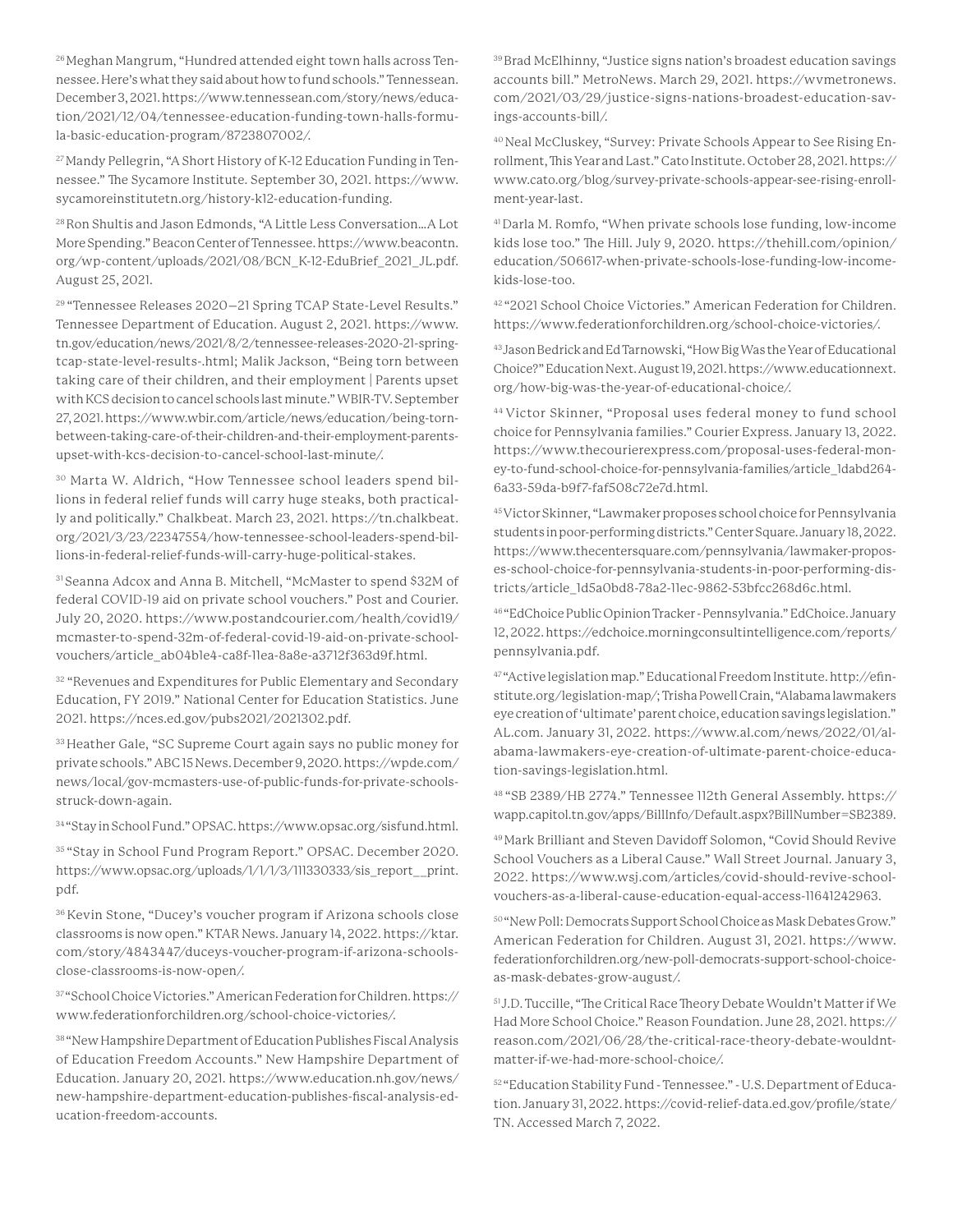26 Meghan Mangrum, "Hundred attended eight town halls across Tennessee. Here's what they said about how to fund schools." Tennessean. December 3, 2021. https://www.tennessean.com/story/news/education/2021/12/04/tennessee-education-funding-town-halls-formula-basic-education-program/8723807002/.

<sup>27</sup> Mandy Pellegrin, "A Short History of K-12 Education Funding in Tennessee." The Sycamore Institute. September 30, 2021. https://www. sycamoreinstitutetn.org/history-k12-education-funding.

28 Ron Shultis and Jason Edmonds, "A Little Less Conversation…A Lot More Spending." Beacon Center of Tennessee. https://www.beacontn. org/wp-content/uploads/2021/08/BCN\_K-12-EduBrief\_2021\_JL.pdf. August 25, 2021.

29 "Tennessee Releases 2020–21 Spring TCAP State-Level Results." Tennessee Department of Education. August 2, 2021. https://www. tn.gov/education/news/2021/8/2/tennessee-releases-2020-21-springtcap-state-level-results-.html; Malik Jackson, "Being torn between taking care of their children, and their employment | Parents upset with KCS decision to cancel schools last minute." WBIR-TV. September 27, 2021. https://www.wbir.com/article/news/education/being-tornbetween-taking-care-of-their-children-and-their-employment-parentsupset-with-kcs-decision-to-cancel-school-last-minute/.

30 Marta W. Aldrich, "How Tennessee school leaders spend billions in federal relief funds will carry huge steaks, both practically and politically." Chalkbeat. March 23, 2021. https://tn.chalkbeat. org/2021/3/23/22347554/how-tennessee-school-leaders-spend-billions-in-federal-relief-funds-will-carry-huge-political-stakes.

31 Seanna Adcox and Anna B. Mitchell, "McMaster to spend \$32M of federal COVID-19 aid on private school vouchers." Post and Courier. July 20, 2020. https://www.postandcourier.com/health/covid19/ mcmaster-to-spend-32m-of-federal-covid-19-aid-on-private-schoolvouchers/article\_ab04b1e4-ca8f-11ea-8a8e-a3712f363d9f.html.

<sup>32</sup> "Revenues and Expenditures for Public Elementary and Secondary Education, FY 2019." National Center for Education Statistics. June 2021. https://nces.ed.gov/pubs2021/2021302.pdf.

33 Heather Gale, "SC Supreme Court again says no public money for private schools." ABC 15 News. December 9, 2020. https://wpde.com/ news/local/gov-mcmasters-use-of-public-funds-for-private-schoolsstruck-down-again.

34 "Stay in School Fund." OPSAC. https://www.opsac.org/sisfund.html.

35 "Stay in School Fund Program Report." OPSAC. December 2020. https://www.opsac.org/uploads/1/1/1/3/111330333/sis\_report\_\_print. pdf.

36 Kevin Stone, "Ducey's voucher program if Arizona schools close classrooms is now open." KTAR News. January 14, 2022. https://ktar. com/story/4843447/duceys-voucher-program-if-arizona-schoolsclose-classrooms-is-now-open/.

37 "School Choice Victories." American Federation for Children. https:// www.federationforchildren.org/school-choice-victories/.

38 "New Hampshire Department of Education Publishes Fiscal Analysis of Education Freedom Accounts." New Hampshire Department of Education. January 20, 2021. https://www.education.nh.gov/news/ new-hampshire-department-education-publishes-fiscal-analysis-education-freedom-accounts.

39 Brad McElhinny, "Justice signs nation's broadest education savings accounts bill." MetroNews. March 29, 2021. https://wvmetronews. com/2021/03/29/justice-signs-nations-broadest-education-savings-accounts-bill/.

40 Neal McCluskey, "Survey: Private Schools Appear to See Rising Enrollment, This Year and Last." Cato Institute. October 28, 2021. https:// www.cato.org/blog/survey-private-schools-appear-see-rising-enrollment-year-last.

41 Darla M. Romfo, "When private schools lose funding, low-income kids lose too." The Hill. July 9, 2020. https://thehill.com/opinion/ education/506617-when-private-schools-lose-funding-low-incomekids-lose-too.

<sup>42</sup> "2021 School Choice Victories." American Federation for Children. https://www.federationforchildren.org/school-choice-victories/.

43 Jason Bedrick and Ed Tarnowski, "How Big Was the Year of Educational Choice?" Education Next. August 19, 2021. https://www.educationnext. org/how-big-was-the-year-of-educational-choice/.

44 Victor Skinner, "Proposal uses federal money to fund school choice for Pennsylvania families." Courier Express. January 13, 2022. https://www.thecourierexpress.com/proposal-uses-federal-money-to-fund-school-choice-for-pennsylvania-families/article\_1dabd264- 6a33-59da-b9f7-faf508c72e7d.html.

45 Victor Skinner, "Lawmaker proposes school choice for Pennsylvania students in poor-performing districts." Center Square. January 18, 2022. https://www.thecentersquare.com/pennsylvania/lawmaker-proposes-school-choice-for-pennsylvania-students-in-poor-performing-districts/article\_1d5a0bd8-78a2-11ec-9862-53bfcc268d6c.html.

46 "EdChoice Public Opinion Tracker - Pennsylvania." EdChoice. January 12, 2022. https://edchoice.morningconsultintelligence.com/reports/ pennsylvania.pdf.

47 "Active legislation map." Educational Freedom Institute. http://efinstitute.org/legislation-map/; Trisha Powell Crain, "Alabama lawmakers eye creation of 'ultimate' parent choice, education savings legislation." AL.com. January 31, 2022. https://www.al.com/news/2022/01/alabama-lawmakers-eye-creation-of-ultimate-parent-choice-education-savings-legislation.html.

48 "SB 2389/HB 2774." Tennessee 112th General Assembly. https:// wapp.capitol.tn.gov/apps/BillInfo/Default.aspx?BillNumber=SB2389.

49 Mark Brilliant and Steven Davidoff Solomon, "Covid Should Revive School Vouchers as a Liberal Cause." Wall Street Journal. January 3, 2022. https://www.wsj.com/articles/covid-should-revive-schoolvouchers-as-a-liberal-cause-education-equal-access-11641242963.

50 "New Poll: Democrats Support School Choice as Mask Debates Grow." American Federation for Children. August 31, 2021. https://www. federationforchildren.org/new-poll-democrats-support-school-choiceas-mask-debates-grow-august/.

51 J.D. Tuccille, "The Critical Race Theory Debate Wouldn't Matter if We Had More School Choice." Reason Foundation. June 28, 2021. https:// reason.com/2021/06/28/the-critical-race-theory-debate-wouldntmatter-if-we-had-more-school-choice/.

52 "Education Stability Fund - Tennessee." - U.S. Department of Education. January 31, 2022. https://covid-relief-data.ed.gov/profile/state/ TN. Accessed March 7, 2022.